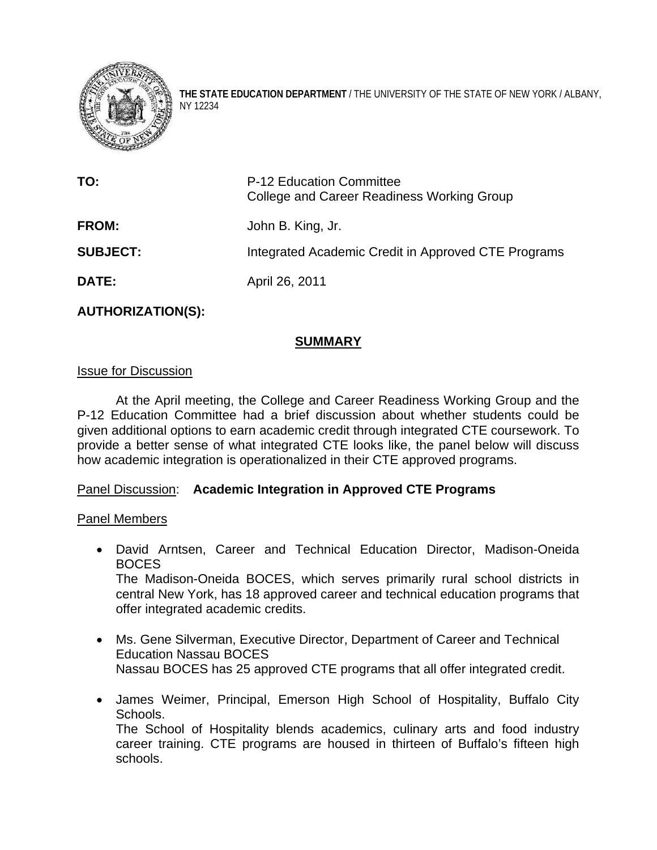

**THE STATE EDUCATION DEPARTMENT** / THE UNIVERSITY OF THE STATE OF NEW YORK / ALBANY, NY 12234

| TO:             | P-12 Education Committee<br>College and Career Readiness Working Group |
|-----------------|------------------------------------------------------------------------|
| <b>FROM:</b>    | John B. King, Jr.                                                      |
| <b>SUBJECT:</b> | Integrated Academic Credit in Approved CTE Programs                    |
| <b>DATE:</b>    | April 26, 2011                                                         |

# **AUTHORIZATION(S):**

# **SUMMARY**

#### Issue for Discussion

At the April meeting, the College and Career Readiness Working Group and the P-12 Education Committee had a brief discussion about whether students could be given additional options to earn academic credit through integrated CTE coursework. To provide a better sense of what integrated CTE looks like, the panel below will discuss how academic integration is operationalized in their CTE approved programs.

## Panel Discussion: **Academic Integration in Approved CTE Programs**

#### Panel Members

- David Arntsen, Career and Technical Education Director, Madison-Oneida BOCES The Madison-Oneida BOCES, which serves primarily rural school districts in central New York, has 18 approved career and technical education programs that offer integrated academic credits.
- Ms. Gene Silverman, Executive Director, Department of Career and Technical Education Nassau BOCES Nassau BOCES has 25 approved CTE programs that all offer integrated credit.
- James Weimer, Principal, Emerson High School of Hospitality, Buffalo City Schools. The School of Hospitality blends academics, culinary arts and food industry

career training. CTE programs are housed in thirteen of Buffalo's fifteen high schools.